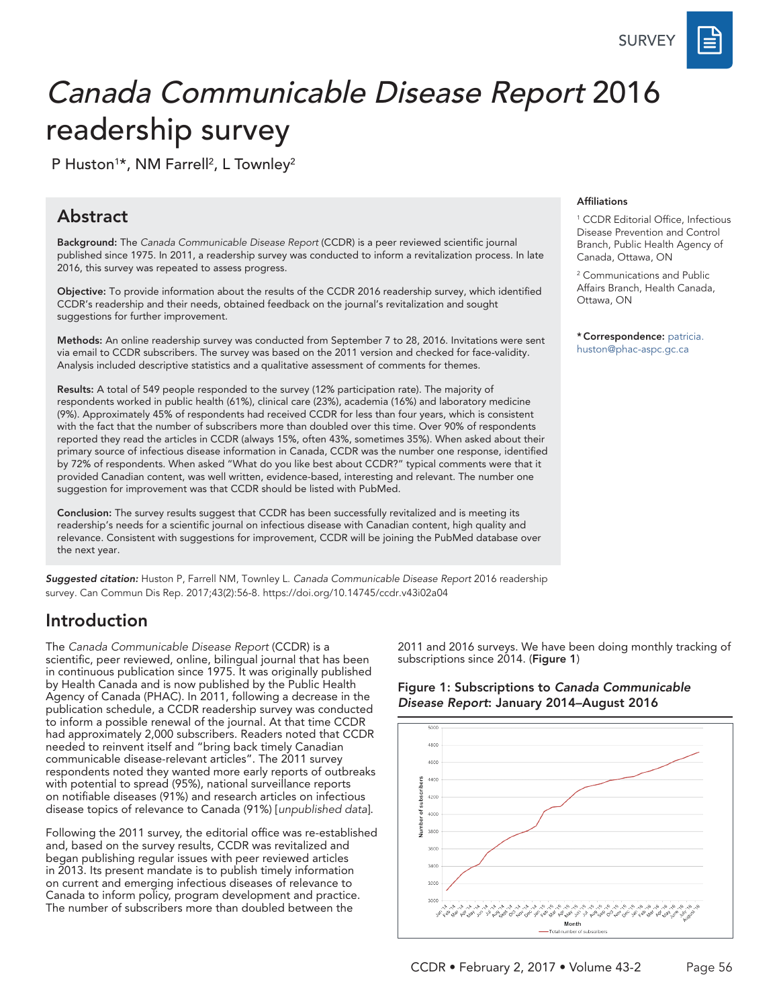**SURVEY** 

# Canada Communicable Disease Report 2016 readership survey

P Huston<sup>1\*</sup>, NM Farrell<sup>2</sup>, L Townley<sup>2</sup>

### Abstract

Background: The *Canada Communicable Disease Report* (CCDR) is a peer reviewed scientific journal published since 1975. In 2011, a readership survey was conducted to inform a revitalization process. In late 2016, this survey was repeated to assess progress.

Objective: To provide information about the results of the CCDR 2016 readership survey, which identified CCDR's readership and their needs, obtained feedback on the journal's revitalization and sought suggestions for further improvement.

Methods: An online readership survey was conducted from September 7 to 28, 2016. Invitations were sent via email to CCDR subscribers. The survey was based on the 2011 version and checked for face-validity. Analysis included descriptive statistics and a qualitative assessment of comments for themes.

Results: A total of 549 people responded to the survey (12% participation rate). The majority of respondents worked in public health (61%), clinical care (23%), academia (16%) and laboratory medicine (9%). Approximately 45% of respondents had received CCDR for less than four years, which is consistent with the fact that the number of subscribers more than doubled over this time. Over 90% of respondents reported they read the articles in CCDR (always 15%, often 43%, sometimes 35%). When asked about their primary source of infectious disease information in Canada, CCDR was the number one response, identified by 72% of respondents. When asked "What do you like best about CCDR?" typical comments were that it provided Canadian content, was well written, evidence-based, interesting and relevant. The number one suggestion for improvement was that CCDR should be listed with PubMed.

Conclusion: The survey results suggest that CCDR has been successfully revitalized and is meeting its readership's needs for a scientific journal on infectious disease with Canadian content, high quality and relevance. Consistent with suggestions for improvement, CCDR will be joining the PubMed database over the next year.

*Suggested citation:* Huston P, Farrell NM, Townley L. *Canada Communicable Disease Report* 2016 readership survey. Can Commun Dis Rep. 2017;43(2):56-8.<https://doi.org/10.14745/ccdr.v43i02a04>

# Introduction

The *Canada Communicable Disease Report* (CCDR) is a scientific, peer reviewed, online, bilingual journal that has been in continuous publication since 1975. It was originally published by Health Canada and is now published by the Public Health Agency of Canada (PHAC). In 2011, following a decrease in the publication schedule, a CCDR readership survey was conducted to inform a possible renewal of the journal. At that time CCDR had approximately 2,000 subscribers. Readers noted that CCDR needed to reinvent itself and "bring back timely Canadian communicable disease-relevant articles". The 2011 survey respondents noted they wanted more early reports of outbreaks with potential to spread (95%), national surveillance reports on notifiable diseases (91%) and research articles on infectious disease topics of relevance to Canada (91%) [*unpublished data*].

Following the 2011 survey, the editorial office was re-established and, based on the survey results, CCDR was revitalized and began publishing regular issues with peer reviewed articles in 2013. Its present mandate is to publish timely information on current and emerging infectious diseases of relevance to Canada to inform policy, program development and practice. The number of subscribers more than doubled between the

2011 and 2016 surveys. We have been doing monthly tracking of subscriptions since 2014. (Figure 1)



Figure 1: Subscriptions to *Canada Communicable Disease Report*: January 2014–August 2016

#### Affiliations

1 CCDR Editorial Office, Infectious Disease Prevention and Control Branch, Public Health Agency of Canada, Ottawa, ON

2 Communications and Public Affairs Branch, Health Canada, Ottawa, ON

\* Correspondence: patricia. huston@phac-aspc.gc.ca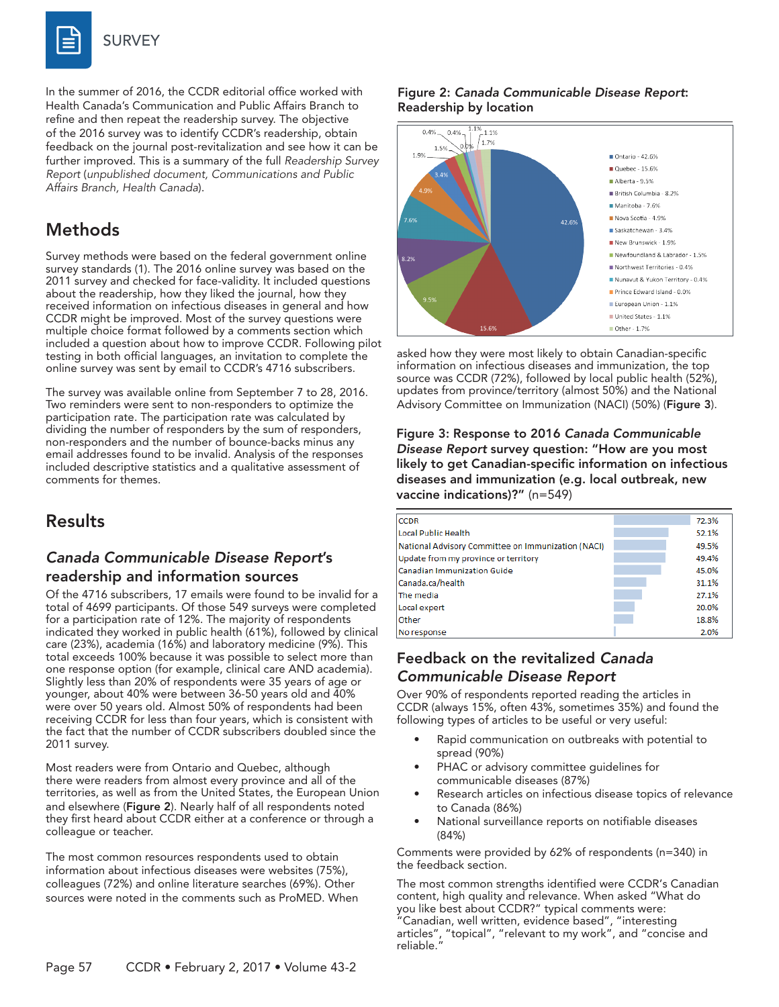

In the summer of 2016, the CCDR editorial office worked with Health Canada's Communication and Public Affairs Branch to refine and then repeat the readership survey. The objective of the 2016 survey was to identify CCDR's readership, obtain feedback on the journal post-revitalization and see how it can be further improved. This is a summary of the full *Readership Survey Report* (*unpublished document, Communications and Public Affairs Branch, Health Canada*).

# Methods

Survey methods were based on the federal government online survey standards (1). The 2016 online survey was based on the 2011 survey and checked for face-validity. It included questions about the readership, how they liked the journal, how they received information on infectious diseases in general and how CCDR might be improved. Most of the survey questions were multiple choice format followed by a comments section which included a question about how to improve CCDR. Following pilot testing in both official languages, an invitation to complete the online survey was sent by email to CCDR's 4716 subscribers.

The survey was available online from September 7 to 28, 2016. Two reminders were sent to non-responders to optimize the participation rate. The participation rate was calculated by dividing the number of responders by the sum of responders, non-responders and the number of bounce-backs minus any email addresses found to be invalid. Analysis of the responses included descriptive statistics and a qualitative assessment of comments for themes.

# Results

#### *Canada Communicable Disease Report*'s readership and information sources

Of the 4716 subscribers, 17 emails were found to be invalid for a total of 4699 participants. Of those 549 surveys were completed for a participation rate of 12%. The majority of respondents indicated they worked in public health (61%), followed by clinical care (23%), academia (16%) and laboratory medicine (9%). This total exceeds 100% because it was possible to select more than one response option (for example, clinical care AND academia). Slightly less than 20% of respondents were 35 years of age or younger, about 40% were between 36-50 years old and 40% were over 50 years old. Almost 50% of respondents had been receiving CCDR for less than four years, which is consistent with the fact that the number of CCDR subscribers doubled since the 2011 survey.

Most readers were from Ontario and Quebec, although there were readers from almost every province and all of the territories, as well as from the United States, the European Union and elsewhere (Figure 2). Nearly half of all respondents noted they first heard about CCDR either at a conference or through a colleague or teacher.

The most common resources respondents used to obtain information about infectious diseases were websites (75%), colleagues (72%) and online literature searches (69%). Other sources were noted in the comments such as ProMED. When

#### Figure 2: *Canada Communicable Disease Report*: Readership by location



asked how they were most likely to obtain Canadian-specific information on infectious diseases and immunization, the top source was CCDR (72%), followed by local public health (52%), updates from province/territory (almost 50%) and the National Advisory Committee on Immunization (NACI) (50%) (Figure 3).

Figure 3: Response to 2016 *Canada Communicable Disease Report* survey question: "How are you most likely to get Canadian-specific information on infectious diseases and immunization (e.g. local outbreak, new vaccine indications)?" (n=549)

| <b>CCDR</b>                                        | 72.3% |
|----------------------------------------------------|-------|
| Local Public Health                                | 52.1% |
| National Advisory Committee on Immunization (NACI) | 49.5% |
| Update from my province or territory               | 49.4% |
| Canadian Immunization Guide                        | 45.0% |
| Canada.ca/health                                   | 31.1% |
| The media                                          | 27.1% |
| Local expert                                       | 20.0% |
| Other                                              | 18.8% |
| No response                                        | 2.0%  |

#### Feedback on the revitalized *Canada Communicable Disease Report*

Over 90% of respondents reported reading the articles in CCDR (always 15%, often 43%, sometimes 35%) and found the following types of articles to be useful or very useful:

- Rapid communication on outbreaks with potential to spread (90%)
- PHAC or advisory committee guidelines for communicable diseases (87%)
- Research articles on infectious disease topics of relevance to Canada (86%)
- National surveillance reports on notifiable diseases (84%)

Comments were provided by 62% of respondents (n=340) in the feedback section.

The most common strengths identified were CCDR's Canadian content, high quality and relevance. When asked "What do you like best about CCDR?" typical comments were: "Canadian, well written, evidence based", "interesting articles", "topical", "relevant to my work", and "concise and reliable."